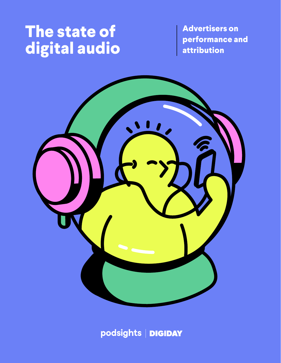### **The state of digital audio**

**Advertisers on performance and attribution**



podsights | DIGIDAY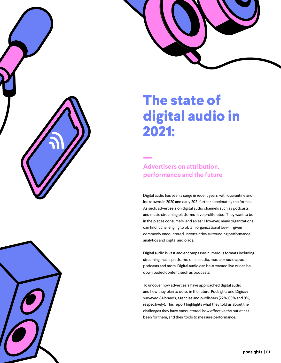

### **The state of digital audio in 2021:**

#### **Advertisers on attribution, performance and the future**

Digital audio has seen a surge in recent years, with quarantine and lockdowns in 2020 and early 2021 further accelerating the format. As such, advertisers on digital audio channels such as podcasts and music streaming platforms have proliferated. They want to be in the places consumers lend an ear. However, many organizations can find it challenging to obtain organizational buy-in, given commonly encountered uncertainties surrounding performance analytics and digital audio ads.

Digital audio is vast and encompasses numerous formats including streaming music platforms, online radio, music or radio apps, podcasts and more. Digital audio can be streamed live or can be downloaded content, such as podcasts.

To uncover how advertisers have approached digital audio and how they plan to do so in the future, Podsights and Digiday surveyed 84 brands, agencies and publishers (22%, 69% and 9%, respectively). This report highlights what they told us about the challenges they have encountered, how effective the outlet has been for them, and their tools to measure performance.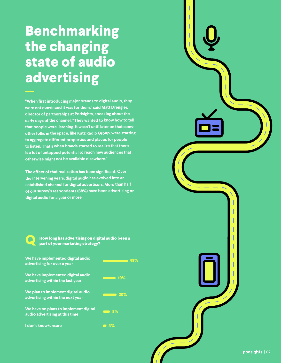### **Benchmarking the changing state of audio advertising**

**"When first introducing major brands to digital audio, they were not convinced it was for them," said Matt Drengler, director of partnerships at Podsights, speaking about the early days of the channel. "They wanted to know how to tell that people were listening. It wasn't until later on that some other folks in the space, like Katz Radio Group, were starting to aggregate different properties and places for people to listen. That's when brands started to realize that there is a lot of untapped potential to reach new audiences that otherwise might not be available elsewhere."**

**The effect of that realization has been significant. Over the intervening years, digital audio has evolved into an established channel for digital advertisers. More than half of our survey's respondents (68%) have been advertising on digital audio for a year or more.**



**How long has advertising on digital audio been a part of your marketing strategy?**

**We have implemented digital audio advertising for over a year**

**We have implemented digital audio advertising within the last year**

**We plan to implement digital audio advertising within the next year**

**We have no plans to implement digital audio advertising at this time**

**I don't know/unsure**



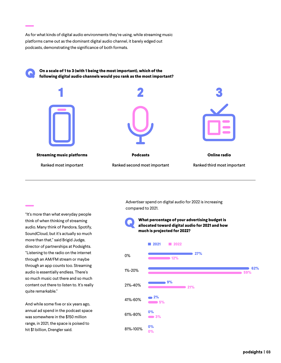As for what kinds of digital audio environments they're using, while streaming music platforms came out as the dominant digital audio channel, it barely edged out podcasts, demonstrating the significance of both formats.

Q **On a scale of 1 to 3 (with 1 being the most important), which of the following digital audio channels would you rank as the most important?** 



"It's more than what everyday people think of when thinking of streaming audio. Many think of Pandora, Spotify, SoundCloud, but it's actually so much more than that," said Brigid Judge, director of partnerships at Podsights. "Listening to the radio on the internet through an AM/FM stream or maybe through an app counts too. Streaming audio is essentially endless. There's so much music out there and so much content out there to listen to. It's really quite remarkable."

And while some five or six years ago, annual ad spend in the podcast space was somewhere in the \$150 million range, in 2021, the space is poised to hit \$1 billion, Drengler said.

Advertiser spend on digital audio for 2022 is increasing compared to 2021.



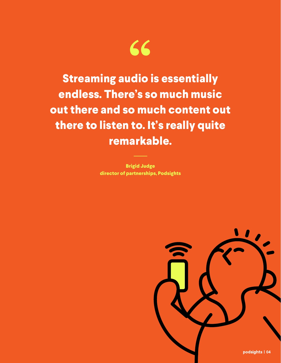

**Streaming audio is essentially endless. There's so much music out there and so much content out there to listen to. It's really quite remarkable.**

> **Brigid Judge director of partnerships, Podsights**

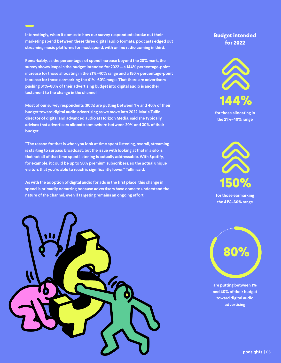**Interestingly, when it comes to how our survey respondents broke out their marketing spend between these three digital audio formats, podcasts edged out streaming music platforms for most spend, with online radio coming in third.** 

**Remarkably, as the percentages of spend increase beyond the 20% mark, the survey shows leaps in the budget intended for 2022 — a 144% percentage-point increase for those allocating in the 21%–40% range and a 150% percentage-point increase for those earmarking the 41%–60% range. That there are advertisers pushing 61%–80% of their advertising budget into digital audio is another testament to the change in the channel.**

**Most of our survey respondents (80%) are putting between 1% and 40% of their budget toward digital audio advertising as we move into 2022. Maria Tullin, director of digital and advanced audio at Horizon Media, said she typically advises that advertisers allocate somewhere between 20% and 30% of their budget.** 

**"The reason for that is when you look at time spent listening, overall, streaming is starting to surpass broadcast, but the issue with looking at that in a silo is that not all of that time spent listening is actually addressable. With Spotify, for example, it could be up to 50% premium subscribers, so the actual unique visitors that you're able to reach is significantly lower," Tullin said.** 

**As with the adoption of digital audio for ads in the first place, this change in spend is primarily occurring because advertisers have come to understand the nature of the channel, even if targeting remains an ongoing effort.**



#### **Budget intended for 2022**



**for those allocating in the 21%–40% range**



**for those earmarking the 41%–60% range**



**are putting between 1% and 40% of their budget toward digital audio advertising**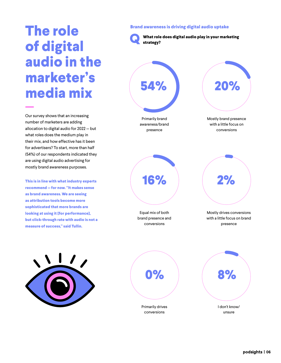#### **Brand awareness is driving digital audio uptake**

**strategy?** 

**What role does digital audio play in your marketing** 

**The role of digital audio in the marketer's media mix**

Our survey shows that an increasing number of marketers are adding allocation to digital audio for 2022 — but what roles does the medium play in their mix, and how effective has it been for advertisers? To start, more than half (54%) of our respondents indicated they are using digital audio advertising for mostly brand awareness purposes.

**This is in line with what industry experts recommend — for now. "It makes sense as brand awareness. We are seeing as attribution tools become more sophisticated that more brands are looking at using it [for performance], but click-through rate with audio is not a measure of success," said Tullin.**

Primarily brand awareness/brand presence Mostly brand presence with a little focus on conversions Equal mix of both brand presence and conversions Mostly drives conversions with a little focus on brand presence **Q 54% 16% 0% 20% 2% 8%**





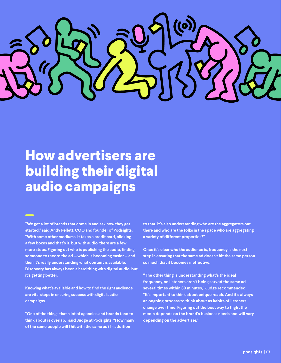

### **How advertisers are building their digital audio campaigns**

**"We get a lot of brands that come in and ask how they get started," said Andy Pellett, COO and founder of Podsights. "With some other mediums, it takes a credit card, clicking a few boxes and that's it, but with audio, there are a few more steps. Figuring out who is publishing the audio, finding someone to record the ad — which is becoming easier — and then it's really understanding what content is available. Discovery has always been a hard thing with digital audio, but it's getting better."** 

**Knowing what's available and how to find the right audience are vital steps in ensuring success with digital audio campaigns.** 

**"One of the things that a lot of agencies and brands tend to think about is overlap," said Judge at Podsights. "How many of the same people will I hit with the same ad? In addition** 

**to that, it's also understanding who are the aggregators out there and who are the folks in the space who are aggregating a variety of different properties?"**

**Once it's clear who the audience is, frequency is the next step in ensuring that the same ad doesn't hit the same person so much that it becomes ineffective.**

**"The other thing is understanding what's the ideal frequency, so listeners aren't being served the same ad several times within 30 minutes," Judge recommended. "It's important to think about unique reach. And it's always an ongoing process to think about as habits of listeners change over time. Figuring out the best way to flight the media depends on the brand's business needs and will vary depending on the advertiser."**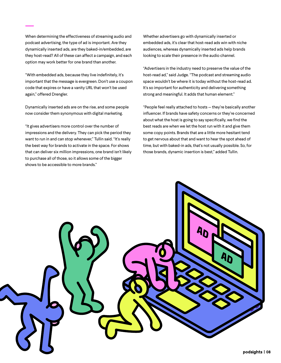When determining the effectiveness of streaming audio and podcast advertising, the type of ad is important. Are they dynamically inserted ads, are they baked-in/embedded, are they host-read? All of these can affect a campaign, and each option may work better for one brand than another.

"With embedded ads, because they live indefinitely, it's important that the message is evergreen. Don't use a coupon code that expires or have a vanity URL that won't be used again," offered Drengler.

Dynamically inserted ads are on the rise, and some people now consider them synonymous with digital marketing.

"It gives advertisers more control over the number of impressions and the delivery. They can pick the period they want to run in and can stop whenever," Tullin said. "It's really the best way for brands to activate in the space. For shows that can deliver six million impressions, one brand isn't likely to purchase all of those, so it allows some of the bigger shows to be accessible to more brands."

Whether advertisers go with dynamically inserted or embedded ads, it's clear that host-read ads win with niche audiences, whereas dynamically inserted ads help brands looking to scale their presence in the audio channel.

"Advertisers in the industry need to preserve the value of the host-read ad," said Judge. "The podcast and streaming audio space wouldn't be where it is today without the host-read ad. It's so important for authenticity and delivering something strong and meaningful. It adds that human element."

"People feel really attached to hosts — they're basically another influencer. If brands have safety concerns or they're concerned about what the host is going to say specifically, we find the best reads are when we let the host run with it and give them some copy points. Brands that are a little more hesitant tend to get nervous about that and want to hear the spot ahead of time, but with baked-in ads, that's not usually possible. So, for those brands, dynamic insertion is best," added Tullin.

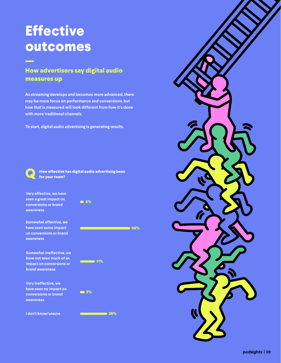### **Effective outcomes**

#### **How advertisers say digital audio measures up**

**As streaming develops and becomes more advanced, there may be more focus on performance and conversions, but how that is measured will look different from how it's done with more traditional channels.** 

**To start, digital audio advertising is generating results.**



**How effective has digital audio advertising been for your team?**

**Very effective, we have seen a great impact on conversions or brand awareness**

**Somewhat effective, we have seen some impact on conversions or brand awareness**

**Somewhat ineffective, we have not seen much of an impact on conversions or brand awareness**

**Very ineffective, we have seen no impact on conversions or brand awareness**

**I don't know/unsure**





**26%**

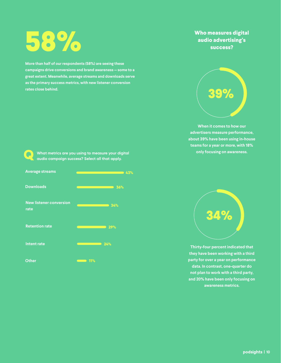# **58%**

**More than half of our respondents (58%) are seeing these campaigns drive conversions and brand awareness — some to a great extent. Meanwhile, average streams and downloads serve as the primary success metrics, with new listener conversion rates close behind.**



**What metrics are you using to measure your digital audio campaign success? Select all that apply.**



#### **Who measures digital audio advertising's success?**



**When it comes to how our advertisers measure performance, about 39% have been using in-house teams for a year or more, with 18% only focusing on awareness.** 



**Thirty-four percent indicated that they have been working with a third party for over a year on performance data. In contrast, one-quarter do not plan to work with a third party, and 20% have been only focusing on awareness metrics.**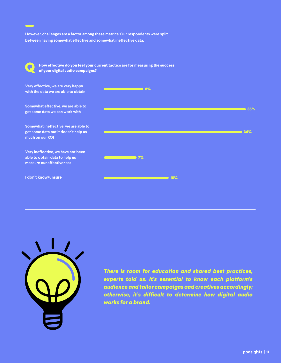**However, challenges are a factor among these metrics: Our respondents were split between having somewhat effective and somewhat ineffective data.**

**How effective do you feel your current tactics are for measuring the success of your digital audio campaigns? Q**





*There is room for education and shared best practices, experts told us. It's essential to know each platform's audience and tailor campaigns and creatives accordingly; otherwise, it's difficult to determine how digital audio works for a brand.*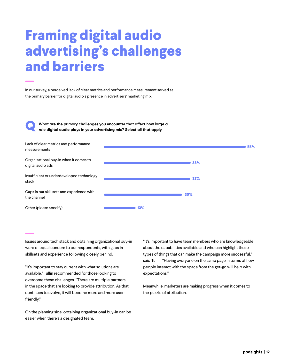### **Framing digital audio advertising's challenges and barriers**

In our survey, a perceived lack of clear metrics and performance measurement served as the primary barrier for digital audio's presence in advertisers' marketing mix.

**What are the primary challenges you encounter that affect how large a role digital audio plays in your advertising mix? Select all that apply.**

**Q**



Issues around tech stack and obtaining organizational buy-in were of equal concern to our respondents, with gaps in skillsets and experience following closely behind.

"It's important to stay current with what solutions are available," Tullin recommended for those looking to overcome these challenges. "There are multiple partners in the space that are looking to provide attribution. As that continues to evolve, it will become more and more userfriendly."

On the planning side, obtaining organizational buy-in can be easier when there's a designated team.

"It's important to have team members who are knowledgeable about the capabilities available and who can highlight those types of things that can make the campaign more successful," said Tullin. "Having everyone on the same page in terms of how people interact with the space from the get-go will help with expectations."

Meanwhile, marketers are making progress when it comes to the puzzle of attribution.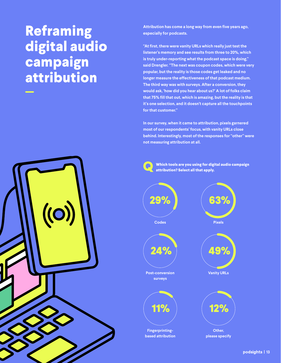### **Reframing digital audio campaign attribution**

((C

**Attribution has come a long way from even five years ago, especially for podcasts.**

**"At first, there were vanity URLs which really just test the listener's memory and see results from three to 20%, which is truly under-reporting what the podcast space is doing," said Drengler. "The next was coupon codes, which were very popular, but the reality is those codes get leaked and no longer measure the effectiveness of that podcast medium. The third way was with surveys. After a conversion, they would ask, 'how did you hear about us?' A lot of folks claim that 75% fill that out, which is amazing, but the reality is that it's one selection, and it doesn't capture all the touchpoints for that customer."**

**In our survey, when it came to attribution, pixels garnered most of our respondents' focus, with vanity URLs close behind. Interestingly, most of the responses for "other" were not measuring attribution at all.**



**Which tools are you using for digital audio campaign attribution? Select all that apply.**

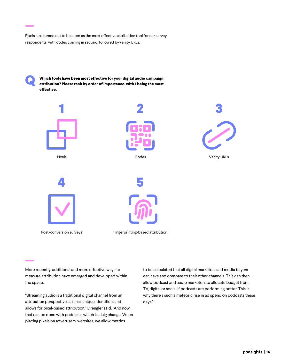Pixels also turned out to be cited as the most effective attribution tool for our survey respondents, with codes coming in second, followed by vanity URLs.

**Which tools have been most effective for your digital audio campaign attribution? Please rank by order of importance, with 1 being the most effective. Q**



Post-conversion surveys

Fingerprinting-based attribution

More recently, additional and more effective ways to measure attribution have emerged and developed within the space.

"Streaming audio is a traditional digital channel from an attribution perspective as it has unique identifiers and allows for pixel-based attribution," Drengler said. "And now, that can be done with podcasts, which is a big change. When placing pixels on advertisers' websites, we allow metrics

to be calculated that all digital marketers and media buyers can have and compare to their other channels. This can then allow podcast and audio marketers to allocate budget from TV, digital or social if podcasts are performing better. This is why there's such a meteoric rise in ad spend on podcasts these days."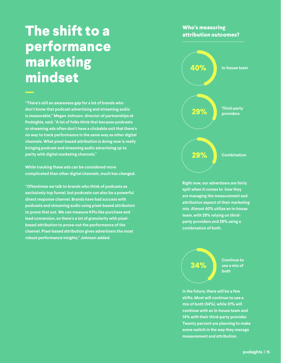### **The shift to a performance marketing mindset**

**"There's still an awareness gap for a lot of brands who don't know that podcast advertising and streaming audio is measurable," Megan Johnson, director of partnerships at Podsights, said. "A lot of folks think that because podcasts or streaming ads often don't have a clickable unit that there's no way to track performance in the same way as other digital channels. What pixel-based attribution is doing now is really bringing podcast and streaming audio advertising up to parity with digital marketing channels."** 

**While tracking these ads can be considered more complicated than other digital channels, much has changed.** 

**"Oftentimes we talk to brands who think of podcasts as exclusively top funnel, but podcasts can also be a powerful direct response channel. Brands have had success with podcasts and streaming audio using pixel-based attribution to prove that out. We can measure KPIs like purchase and lead conversion, so there's a lot of granularity with pixelbased attribution to prove-out the performance of the channel. Pixel-based attribution gives advertisers the most robust performance insights," Johnson added.**

#### **Who's measuring attribution outcomes?**



**Right now, our advertisers are fairly split when it comes to how they are managing the measurement and attribution aspect of their marketing mix. Almost 40% utilize an in-house team, with 29% relying on thirdparty providers and 29% using a combination of both.**



**In the future, there will be a few shifts. Most will continue to use a mix of both (34%), while 31% will continue with an in-house team and 14% with their third-party provider. Twenty percent are planning to make some switch in the way they manage measurement and attribution.**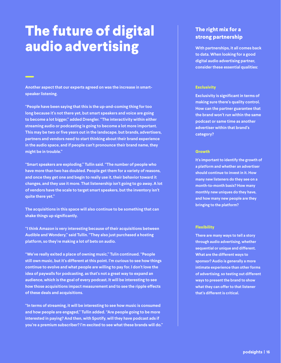### **The future of digital audio advertising**

**Another aspect that our experts agreed on was the increase in smartspeaker listening.** 

**"People have been saying that this is the up-and-coming thing for too long because it's not there yet, but smart speakers and voice are going to become a lot bigger," added Drengler. "The interactivity within either streaming audio or podcasting is going to become a lot more important. This may be two or five years out in the landscape, but brands, advertisers, partners and vendors need to start thinking about their brand experience in the audio space, and if people can't pronounce their brand name, they might be in trouble."** 

**"Smart speakers are exploding," Tullin said. "The number of people who have more than two has doubled. People get them for a variety of reasons, and once they get one and begin to really use it, their behavior toward it changes, and they use it more. That listenership isn't going to go away. A lot of vendors have the scale to target smart speakers, but the inventory isn't quite there yet."** 

**The acquisitions in this space will also continue to be something that can shake things up significantly.** 

**"I think Amazon is very interesting because of their acquisitions between Audible and Wondery," said Tullin. "They also just purchased a hosting platform, so they're making a lot of bets on audio.**

**"We've really exited a place of owning music," Tulin continued. "People still own music, but it's different at this point. I'm curious to see how things continue to evolve and what people are willing to pay for. I don't love the idea of paywalls for podcasting, as that's not a great way to expand an audience, which is the goal of every podcast. It will be interesting to see how those acquisitions impact measurement and to see the ripple effects of these deals and acquisitions.** 

**"In terms of streaming, it will be interesting to see how music is consumed and how people are engaged," Tullin added. "Are people going to be more interested in paying? And then, with Spotify, will they have podcast ads if you're a premium subscriber? I'm excited to see what these brands will do."**

#### **The right mix for a strong partnership**

**With partnerships, it all comes back to data. When looking for a good digital audio advertising partner, consider these essential qualities:**

#### **Exclusivity**

**Exclusivity is significant in terms of making sure there's quality control. How can the partner guarantee that the brand won't run within the same podcast or same time as another advertiser within that brand's category?**

#### **Growth**

**It's important to identify the growth of a platform and whether an advertiser should continue to invest in it. How many new listeners do they see on a month-to-month basis? How many monthly new uniques do they have, and how many new people are they bringing to the platform?**

#### **Flexibility**

**There are many ways to tell a story through audio advertising, whether sequential or unique and different. What are the different ways to sponsor? Audio is generally a more intimate experience than other forms of advertising, so testing out different ways to present the brand to show what they can offer to that listener that's different is critical.**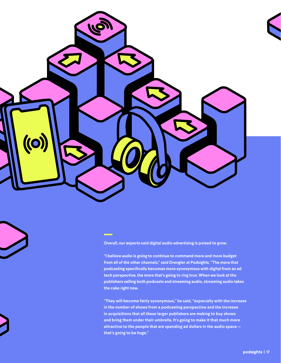

**Overall, our experts said digital audio advertising is poised to grow.** 

**"I believe audio is going to continue to command more and more budget from all of the other channels," said Drengler at Podsights. "The more that podcasting specifically becomes more synonymous with digital from an ad tech perspective, the more that's going to ring true. When we look at the publishers selling both podcasts and streaming audio, streaming audio takes the cake right now.** 

**"They will become fairly synonymous," he said, "especially with the increase in the number of shows from a podcasting perspective and the increase in acquisitions that all these larger publishers are making to buy shows and bring them under their umbrella. It's going to make it that much more attractive to the people that are spending ad dollars in the audio space that's going to be huge."**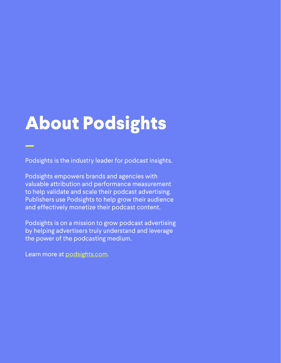## **About Podsights**

Podsights is the industry leader for podcast insights.

Podsights empowers brands and agencies with valuable attribution and performance measurement to help validate and scale their podcast advertising. Publishers use Podsights to help grow their audience and effectively monetize their podcast content.

Podsights is on a mission to grow podcast advertising by helping advertisers truly understand and leverage the power of the podcasting medium.

Learn more at [podsights.com.](http://podsights.com)